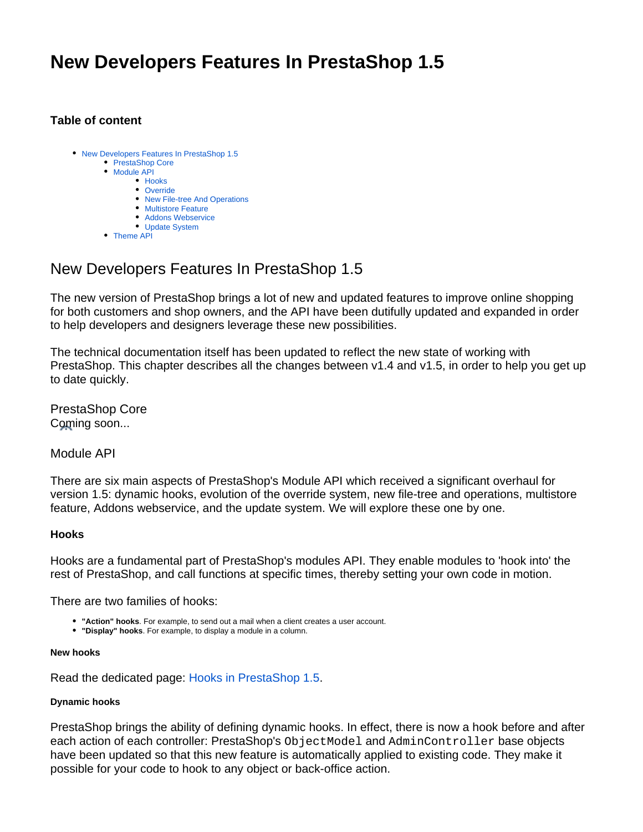# **New Developers Features In PrestaShop 1.5**

# **Table of content**

| • New Developers Features In PrestaShop 1.5<br>• PrestaShop Core<br>• Module API |
|----------------------------------------------------------------------------------|
|                                                                                  |
| $\bullet$ Hooks                                                                  |
| • Override                                                                       |
| • New File-tree And Operations                                                   |
| • Multistore Feature                                                             |
| • Addons Webservice                                                              |
| • Update System                                                                  |
| • Theme API                                                                      |

# <span id="page-0-0"></span>New Developers Features In PrestaShop 1.5

The new version of PrestaShop brings a lot of new and updated features to improve online shopping for both customers and shop owners, and the API have been dutifully updated and expanded in order to help developers and designers leverage these new possibilities.

The technical documentation itself has been updated to reflect the new state of working with PrestaShop. This chapter describes all the changes between v1.4 and v1.5, in order to help you get up to date quickly.

<span id="page-0-1"></span>PrestaShop Core Coming soon...

<span id="page-0-2"></span>Module API

There are six main aspects of PrestaShop's Module API which received a significant overhaul for version 1.5: dynamic hooks, evolution of the override system, new file-tree and operations, multistore feature, Addons webservice, and the update system. We will explore these one by one.

# <span id="page-0-3"></span>**Hooks**

Hooks are a fundamental part of PrestaShop's modules API. They enable modules to 'hook into' the rest of PrestaShop, and call functions at specific times, thereby setting your own code in motion.

There are two families of hooks:

- **"Action" hooks**. For example, to send out a mail when a client creates a user account.
- **"Display" hooks**. For example, to display a module in a column.

#### **New hooks**

Read the dedicated page: [Hooks in PrestaShop 1.5](https://doc.prestashop.com/display/PS15/Hooks+in+PrestaShop+1.5).

## **Dynamic hooks**

PrestaShop brings the ability of defining dynamic hooks. In effect, there is now a hook before and after each action of each controller: PrestaShop's ObjectModel and AdminController base objects have been updated so that this new feature is automatically applied to existing code. They make it possible for your code to hook to any object or back-office action.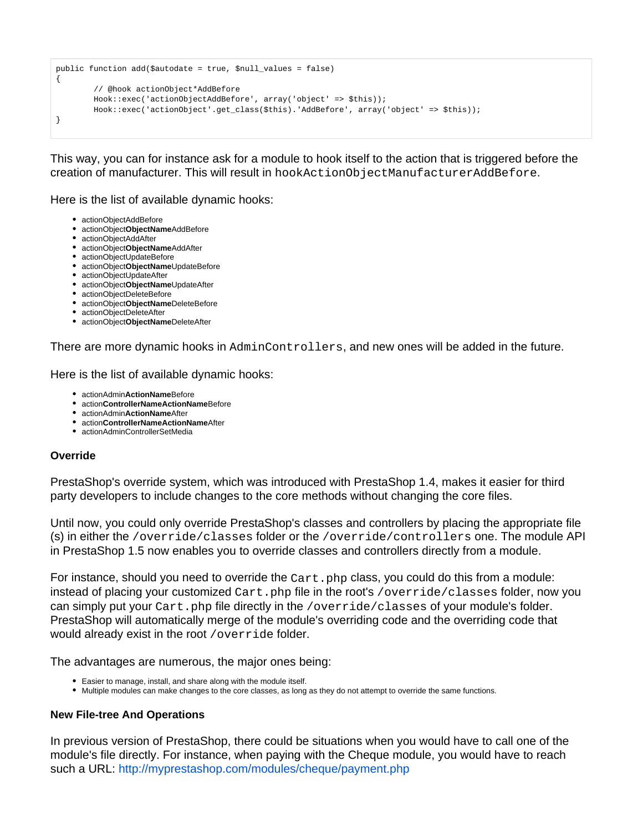```
public function add($autodate = true, $null_values = false)
{
         // @hook actionObject*AddBefore
         Hook::exec('actionObjectAddBefore', array('object' => $this));
         Hook::exec('actionObject'.get_class($this).'AddBefore', array('object' => $this));
}
```
This way, you can for instance ask for a module to hook itself to the action that is triggered before the creation of manufacturer. This will result in hookActionObjectManufacturerAddBefore.

Here is the list of available dynamic hooks:

- actionObjectAddBefore
- actionObject**ObjectName**AddBefore
- actionObjectAddAfter
- actionObject**ObjectName**AddAfter
- actionObjectUpdateBefore
- actionObject**ObjectName**UpdateBefore
- actionObjectUpdateAfter
- actionObject**ObjectName**UpdateAfter
- actionObjectDeleteBefore
- actionObject**ObjectName**DeleteBefore
- actionObjectDeleteAfter
- actionObject**ObjectName**DeleteAfter

There are more dynamic hooks in AdminControllers, and new ones will be added in the future.

Here is the list of available dynamic hooks:

- actionAdmin**ActionName**Before
- action**ControllerNameActionName**Before
- actionAdmin**ActionName**After
- action**ControllerNameActionName**After
- actionAdminControllerSetMedia

#### <span id="page-1-0"></span>**Override**

PrestaShop's override system, which was introduced with PrestaShop 1.4, makes it easier for third party developers to include changes to the core methods without changing the core files.

Until now, you could only override PrestaShop's classes and controllers by placing the appropriate file (s) in either the /override/classes folder or the /override/controllers one. The module API in PrestaShop 1.5 now enables you to override classes and controllers directly from a module.

For instance, should you need to override the  $Cart$ . php class, you could do this from a module: instead of placing your customized  $Cart$ , php file in the root's /override/classes folder, now you can simply put your Cart.php file directly in the /override/classes of your module's folder. PrestaShop will automatically merge of the module's overriding code and the overriding code that would already exist in the root /override folder.

The advantages are numerous, the major ones being:

- Easier to manage, install, and share along with the module itself.
- Multiple modules can make changes to the core classes, as long as they do not attempt to override the same functions.

## <span id="page-1-1"></span>**New File-tree And Operations**

In previous version of PrestaShop, there could be situations when you would have to call one of the module's file directly. For instance, when paying with the Cheque module, you would have to reach such a URL:<http://myprestashop.com/modules/cheque/payment.php>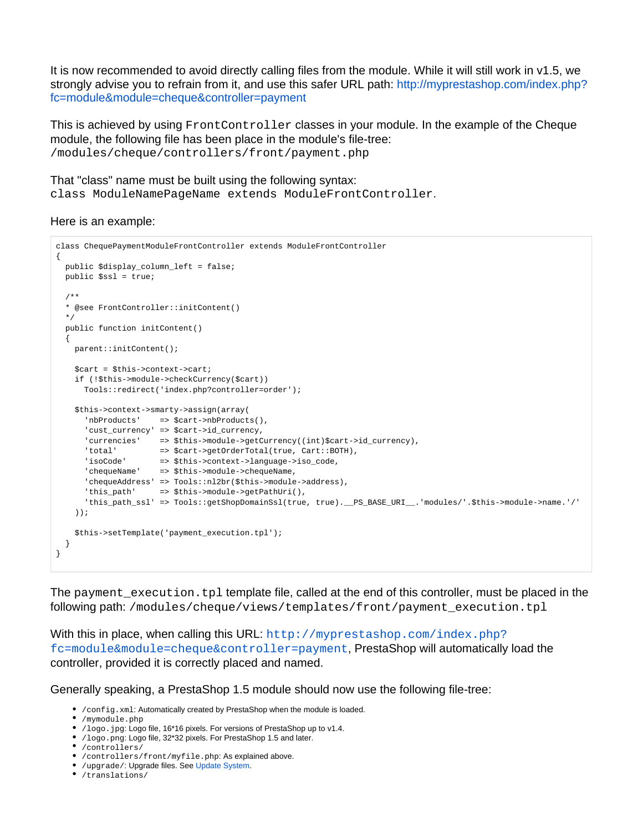It is now recommended to avoid directly calling files from the module. While it will still work in v1.5, we strongly advise you to refrain from it, and use this safer URL path: [http://myprestashop.com/index.php?](http://myprestashop.com/index.php?fc=module&module=cheque&controller=payment) [fc=module&module=cheque&controller=payment](http://myprestashop.com/index.php?fc=module&module=cheque&controller=payment)

This is achieved by using FrontController classes in your module. In the example of the Cheque module, the following file has been place in the module's file-tree: /modules/cheque/controllers/front/payment.php

That "class" name must be built using the following syntax: class ModuleNamePageName extends ModuleFrontController.

#### Here is an example:

```
class ChequePaymentModuleFrontController extends ModuleFrontController
{
  public $display_column_left = false;
  public $ssl = true;
  /**
  * @see FrontController::initContent()
  */
  public function initContent()
   {
    parent::initContent();
    $cart = $this->context->cart;
    if (!$this->module->checkCurrency($cart))
      Tools::redirect('index.php?controller=order');
    $this->context->smarty->assign(array(
      'nbProducts' => $cart->nbProducts(),
       'cust_currency' => $cart->id_currency,
     'currencies' => $this->module->getCurrency((int)$cart->id_currency),
      'total' => $cart->getOrderTotal(true, Cart::BOTH),
 'isoCode' => $this->context->language->iso_code,
 'chequeName' => $this->module->chequeName,
      'chequeAddress' => Tools::nl2br($this->module->address),
      'this_path' => $this->module->getPathUri(),
      'this_path_ssl' => Tools::getShopDomainSsl(true, true).__PS_BASE_URI__.'modules/'.$this->module->name.'/'
    ));
    $this->setTemplate('payment_execution.tpl');
  }
}
```
The payment execution.tpl template file, called at the end of this controller, must be placed in the following path: /modules/cheque/views/templates/front/payment\_execution.tpl

With this in place, when calling this URL: [http://myprestashop.com/index.php?](http://myprestashop.com/index.php?fc=module&module=cheque&controller=payment) [fc=module&module=cheque&controller=payment](http://myprestashop.com/index.php?fc=module&module=cheque&controller=payment), PrestaShop will automatically load the controller, provided it is correctly placed and named.

Generally speaking, a PrestaShop 1.5 module should now use the following file-tree:

- /config.xml: Automatically created by PrestaShop when the module is loaded.
- /mymodule.php
- /logo.jpg: Logo file, 16\*16 pixels. For versions of PrestaShop up to v1.4.
- /logo.png: Logo file, 32\*32 pixels. For PrestaShop 1.5 and later.
- /controllers/
- /controllers/front/myfile.php: As explained above.
- /upgrade/: Upgrade files. See [Update System.](http://doc.prestashop.com/display/PS15/New+Developers+Features+In+PrestaShop+1.5#NewDevelopersFeaturesInPrestaShop1.5-UpdateSystem)
- /translations/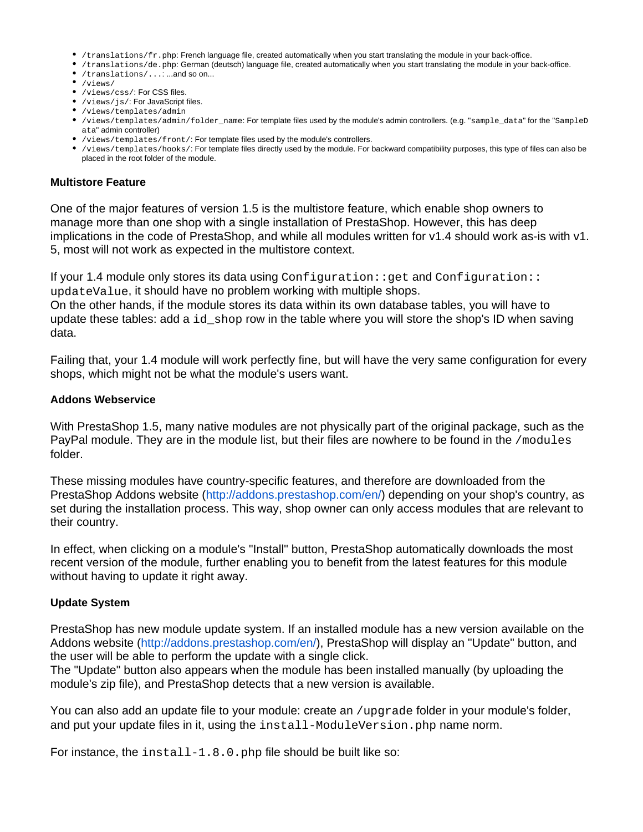- /translations/fr.php: French language file, created automatically when you start translating the module in your back-office.
- /translations/de.php: German (deutsch) language file, created automatically when you start translating the module in your back-office.
- /translations/...: ...and so on...
- $\bullet$  /views/
- /views/css/: For CSS files.
- /views/js/: For JavaScript files.
- /views/templates/admin
- /views/templates/admin/folder\_name: For template files used by the module's admin controllers. (e.g. "sample\_data" for the "SampleD ata" admin controller)
- /views/templates/front/: For template files used by the module's controllers.
- /views/templates/hooks/: For template files directly used by the module. For backward compatibility purposes, this type of files can also be placed in the root folder of the module.

#### <span id="page-3-0"></span>**Multistore Feature**

One of the major features of version 1.5 is the multistore feature, which enable shop owners to manage more than one shop with a single installation of PrestaShop. However, this has deep implications in the code of PrestaShop, and while all modules written for v1.4 should work as-is with v1. 5, most will not work as expected in the multistore context.

If your 1.4 module only stores its data using Configuration:: get and Configuration:: updateValue, it should have no problem working with multiple shops.

On the other hands, if the module stores its data within its own database tables, you will have to update these tables: add a  $id$  shop row in the table where you will store the shop's ID when saving data.

Failing that, your 1.4 module will work perfectly fine, but will have the very same configuration for every shops, which might not be what the module's users want.

#### <span id="page-3-1"></span>**Addons Webservice**

With PrestaShop 1.5, many native modules are not physically part of the original package, such as the PayPal module. They are in the module list, but their files are nowhere to be found in the /modules folder.

These missing modules have country-specific features, and therefore are downloaded from the PrestaShop Addons website [\(http://addons.prestashop.com/en/](http://addons.prestashop.com/en/)) depending on your shop's country, as set during the installation process. This way, shop owner can only access modules that are relevant to their country.

In effect, when clicking on a module's "Install" button, PrestaShop automatically downloads the most recent version of the module, further enabling you to benefit from the latest features for this module without having to update it right away.

## <span id="page-3-2"></span>**Update System**

PrestaShop has new module update system. If an installed module has a new version available on the Addons website [\(http://addons.prestashop.com/en/](http://addons.prestashop.com/en/)), PrestaShop will display an "Update" button, and the user will be able to perform the update with a single click.

The "Update" button also appears when the module has been installed manually (by uploading the module's zip file), and PrestaShop detects that a new version is available.

You can also add an update file to your module: create an /upgrade folder in your module's folder, and put your update files in it, using the install-ModuleVersion.php name norm.

For instance, the install-1.8.0.php file should be built like so: